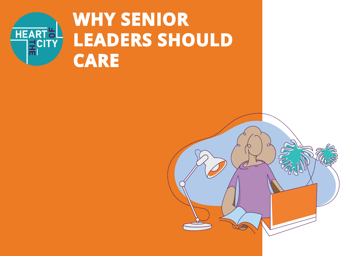

# **WHY SENIOR LEADERS SHOULD CARE**

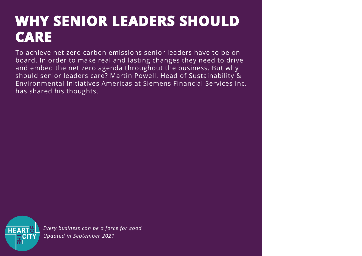### **WHY SENIOR LEADERS SHOULD CARE**

To achieve net zero carbon emissions senior leaders have to be on board. In order to make real and lasting changes they need to drive and embed the net zero agenda throughout the business. But why should senior leaders care? Martin Powell, Head of Sustainability & Environmental Initiatives Americas at Siemens Financial Services Inc. has shared his thoughts.

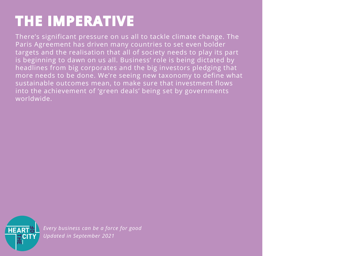## **THE IMPERATIVE**

There's significant pressure on us all to tackle climate change. The Paris Agreement has driven many countries to set even bolder targets and the realisation that all of society needs to play its part is beginning to dawn on us all. Business' role is being dictated by headlines from big corporates and the big investors pledging that more needs to be done. We're seeing new taxonomy to define what sustainable outcomes mean, to make sure that investment flows into the achievement of 'green deals' being set by governments worldwide.

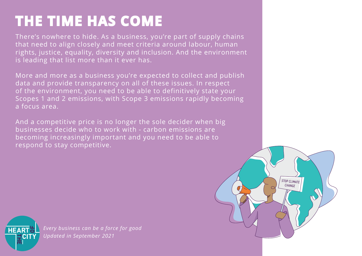## **THE TIME HAS COME**

There's nowhere to hide. As a business, you're part of supply chains that need to align closely and meet criteria around labour, human rights, justice, equality, diversity and inclusion. And the environment is leading that list more than it ever has.

More and more as a business you're expected to collect and publish data and provide transparency on all of these issues. In respect of the environment, you need to be able to definitively state your Scopes 1 and 2 emissions, with Scope 3 emissions rapidly becoming a focus area.

And a competitive price is no longer the sole decider when big businesses decide who to work with - carbon emissions are becoming increasingly important and you need to be able to respond to stay competitive.



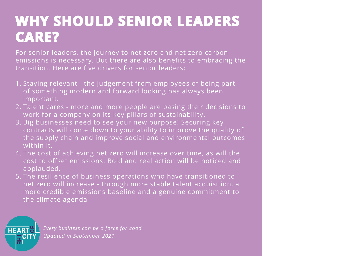### **WHY SHOULD SENIOR LEADERS CARE?**

For senior leaders, the journey to net zero and net zero carbon emissions is necessary. But there are also benefits to embracing the transition. Here are five drivers for senior leaders:

- 1. Staying relevant the judgement from employees of being part of something modern and forward looking has always been important.
- 2. Talent cares more and more people are basing their decisions to work for a company on its key pillars of sustainability.
- 3. Big businesses need to see your new purpose! Securing key contracts will come down to your ability to improve the quality of the supply chain and improve social and environmental outcomes within it.
- 4. The cost of achieving net zero will increase over time, as will the cost to offset emissions. Bold and real action will be noticed and applauded.
- 5. The resilience of business operations who have transitioned to net zero will increase - through more stable talent acquisition, a more credible emissions baseline and a genuine commitment to the climate agenda